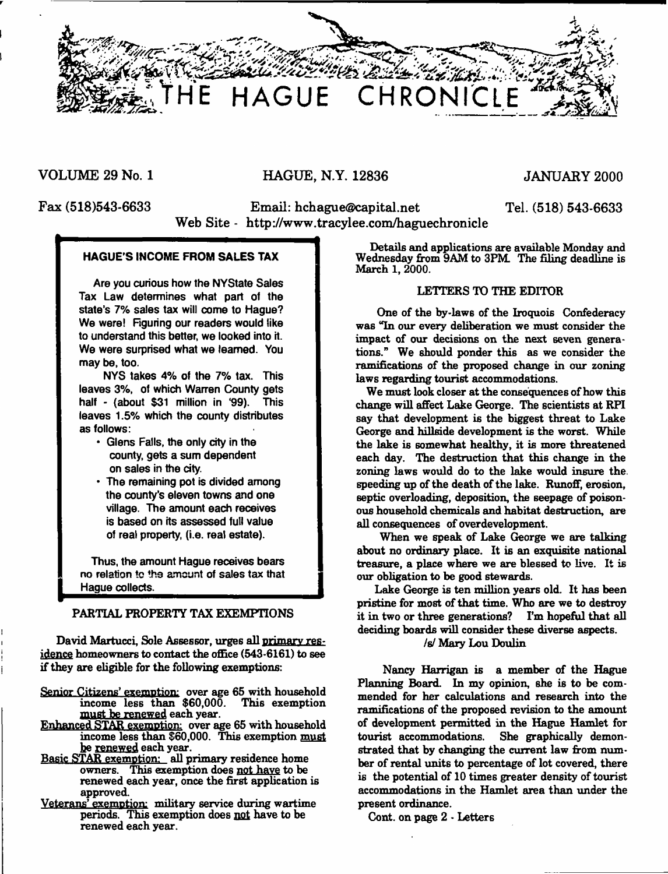

**VOLUME 29 No. 1 HAGUE, N.Y. 12836 JANUARY 2000**

**Fax (518)543-6633 Email: [hchague@capital.net](mailto:hchague@capital.net) Tel. (518) 543-6633 Web Site - <http://www.tracylee.com/haguechronicle>**

## **HAGUE'S INCOME FROM SALES TAX**

Are you curious how the NYState Sales Tax Law determines what part of the state's 7% sales tax will come to Hague? We were! Figuring our readers would like to understand this better, we looked into it. We were surprised what we learned. You may be, too.

NYS takes 4% of the 7% tax. This leaves 3%, of which Warren County gets half - (about \$31 million in '99). This leaves 1.5% which the county distributes as follows:

- \* Glens Falls, the only city in the county, gets a sum dependent on sales in the city.
- The remaining pot is divided among the county's eleven towns and one village. The amount each receives is based on its assessed full value of real property, (i.e. real estate).

Thus, the amount Hague receives bears no relation to the amount of sales tax that Hague collects.

## PARTIAL PROPERTY TAX EXEMPTIONS

David Martucci, Sole Assessor, urges all primary res. idence homeowners to contact the office (543-6161) to see if they are eligible for the following exemptions:

- Senior Citizens' exemption: over age 65 with household<br>income less than \$60,000. This exemption income less than  $$60,000$ . must be renewed each year.
- Enhanced STAR exemption: over age 65 with household income less than \$60,000. This exemption must be renewed each year.
- Basic STAR exemption: all primary residence home owners. This exemption does not have to be renewed each year, once the first application is approved.
- Veterans' exemption: military service during wartime periods. This exemption does not have to be renewed each year.

Details and applications are available Monday and Wednesday from 9AM to 3PM The filing deadline is March 1, 2000.

#### LETTERS TO THE EDITOR

One of the by-laws of the Iroquois Confederacy was Tn our every deliberation we must consider the impact of our decisions on the next seven generations." We should ponder this as we consider the ramifications of the proposed change in our zoning laws regarding tourist accommodations.

We must look closer at the consequences of how this change will affect Lake George. The scientists at RPI say that development is the biggest threat to Lake George and hillside development is the worst. While the lake is somewhat healthy, it is more threatened each day. The destruction that this change in the zoning laws would do to the lake would insure the. speeding up of the death of the lake. Runoff, erosion, septic overloading, deposition, the seepage of poisonous household chemicals and habitat destruction, are all consequences of overdevelopment.

When we speak of Lake George we are talking about no ordinary place. It is an exquisite national treasure, a place where we are blessed to live. It is our obligation to be good stewards.

Lake George is ten million years old. It has been pristine for most of that time. Who are we to destroy it in two or three generations? I'm hopeful that all deciding boards will consider these diverse aspects,

/s/ Mary Lou Doulin

Nancy Harrigan is a member of the Hague Planning Board. In my opinion, she is to be commended for her calculations and research into the ramifications of the proposed revision to the amount of development permitted in the Hague Hamlet for tourist accommodations. She graphically demonstrated that by changing the current law from number of rental units to percentage of lot covered, there is the potential of 10 times greater density of tourist accommodations in the Hamlet area than under the present ordinance.

Cont. on page 2 • Letters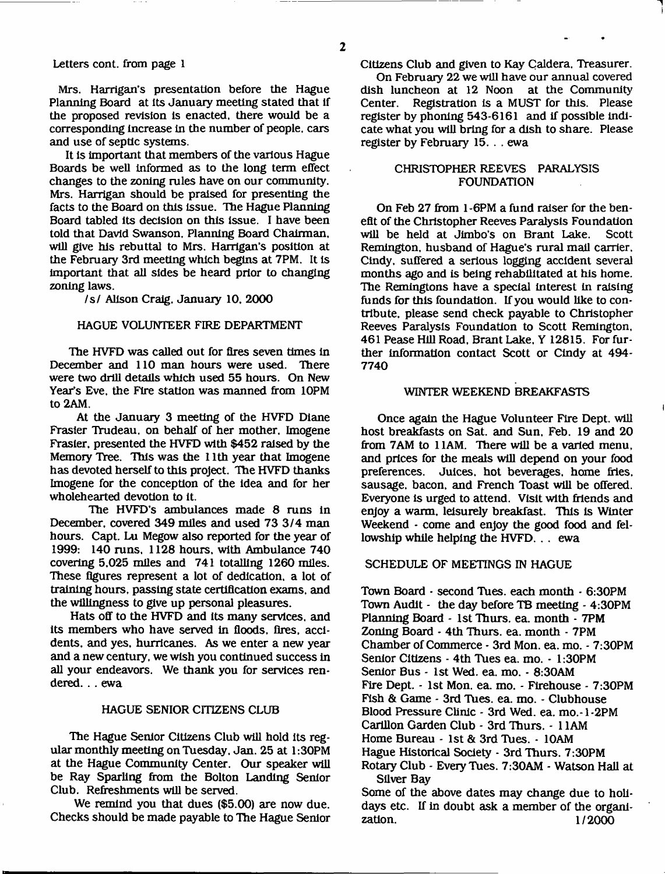#### Letters cont. from page 1

Mrs. Harrigan's presentation before the Hague Planning Board at its January meeting stated that if the proposed revision is enacted, there would be a corresponding Increase in the number of people, cars and use of septic systems.

It is important that members of the various Hague Boards be well informed as to the long term effect changes to the zoning rules have on our community. Mrs. Harrigan should be praised for presenting the facts to the Board on this issue. The Hague Planning Board tabled its decision on this Issue. I have been told that David Swanson, Planning Board Chairman, will give his rebuttal to Mrs. Harrigan's position at the February 3rd meeting which begins at 7PM. It is important that all sides be heard prior to changing zoning laws.

#### /s / Alison Craig, January 10, 2000

#### HAGUE VOLUNTEER FIRE DEPARTMENT

The HVFD was called out for fires seven times in December and 110 man hours were used. There were two drill details which used 55 hours. On New Year's Eve, the Fire station was manned from 10PM to 2AM.

At the January 3 meeting of the HVFD Diane Frasier Trudeau, on behalf of her mother. Imogene Frasier, presented the HVFD with \$452 raised by the Memory Tree. This was the 11th year that Imogene has devoted herself to this project. The HVFD thanks Imogene for the conception of the idea and for her wholehearted devotion to It.

The HVFD's ambulances made 8 runs in December, covered 349 miles and used 73 3/4 man hours. Capt. Lu Megow also reported for the year of 1999: 140 runs, 1128 hours, with Ambulance 740 covering 5,025 miles and 741 totalling 1260 miles. These figures represent a lot of dedication, a lot of training hours, passing state certification exams, and the willingness to give up personal pleasures.

Hats off to the HVFD and Its many services, and its members who have served in floods, fires, accidents, and yes, hurricanes. As we enter a new year and a new century, we wish you continued success in all your endeavors. We thank you for services rendered. . . ewa

#### HAGUE SENIOR CITIZENS CLUB

The Hague Senior Citizens Club will hold its regular monthly meeting on Tuesday. Jan. 25 at 1:30PM at the Hague Community Center. Our speaker will be Ray Sparling from the Bolton Landing Senior Club. Refreshments will be served.

We remind you that dues (\$5.00) are now due. Checks should be made payable to The Hague Senior Citizens Club and given to Kay Caldera, Treasurer.

On February 22 we will have our annual covered dish luncheon at 12 Noon at the Community Center. Registration is a MUST for this. Please register by phoning 543-6161 and if possible indicate what you will bring for a dish to share. Please register by February 15. . . ewa

## CHRISTOPHER REEVES PARALYSIS FOUNDATION

On Feb 27 from 1 -6PM a fund raiser for the benefit of the Christopher Reeves Paralysis Foundation will be held at Jimbo's on Brant Lake. Scott Remington, husband of Hague's rural mail carrier, Cindy, suffered a serious logging accident several months ago and is being rehabilitated at his home. The Remingtons have a special Interest In raising funds for this foundation. If you would like to contribute, please send check payable to Christopher Reeves Paralysis Foundation to Scott Remington, 461 Pease Hill Road, Brant Lake. Y 12815. For further Information contact Scott or Cindy at 494- 7740

#### WINTER WEEKEND BREAKFASTS

Once again the Hague Volunteer Fire Dept, will host breakfasts on Sat. and Sun. Feb. 19 and 20 from 7AM to 11AM. There will be a varied menu, and prices for the meals will depend on your food preferences. Juices, hot beverages, home fries, sausage, bacon, and French Toast will be offered. Everyone Is urged to attend. Visit with friends and enjoy a warm, leisurely breakfast. This Is Winter Weekend - come and enjoy the good food and fellowship while helping the HVFD. . . ewa

#### SCHEDULE OF MEETINGS IN HAGUE

Town Board - second Tues. each month - 6:30PM Town Audit - the day before TB meeting - 4:30PM Planning Board - 1st Thurs. ea. month - 7PM Zoning Board - 4th Thurs. ea. month - 7PM Chamber of Commerce - 3rd Mon. ea. mo. - 7:30PM Senior Citizens - 4th Tues ea. mo. - 1:30PM Senior Bus - 1st Wed. ea. mo. - 8:30AM Fire Dept. - 1st Mon. ea. mo. - Flrehouse - 7:30PM Fish & Game - 3rd Tues. ea. mo. - Clubhouse Blood Pressure Clinic - 3rd Wed. ea. mo.-1-2PM Carillon Garden Club - 3rd Thurs. - 11AM Home Bureau - 1st & 3rd Tues. - 10AM Hague Historical Society - 3rd Thurs. 7:30PM Rotary Club - Every Tues. 7:30AM - Watson Hall at Silver Bay Some of the above dates may change due to holidays etc. If in doubt ask a member of the organization. 1/2000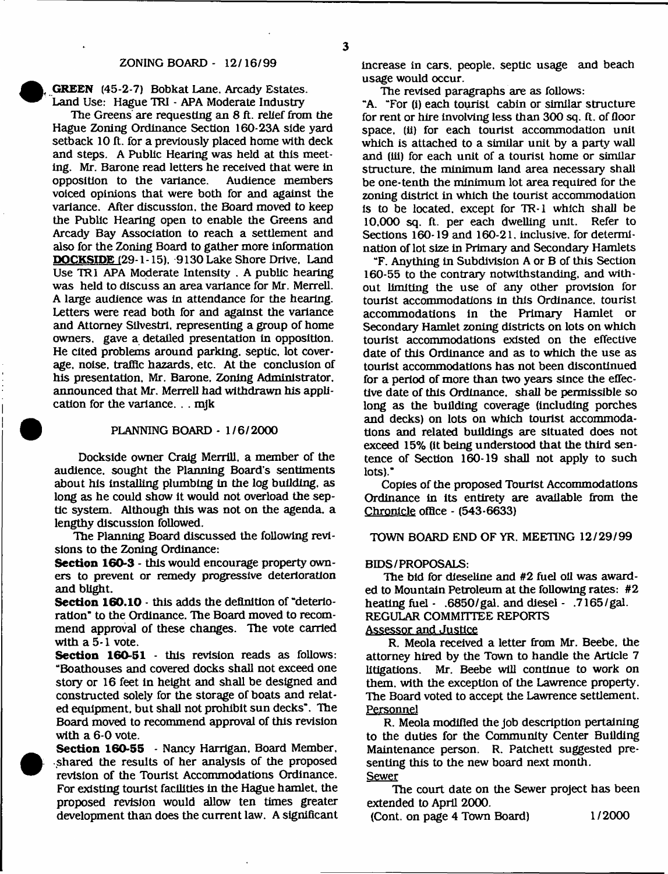**GREEN** (45-2-7) Bobkat Lane. Arcady Estates. Land Use: Hague TRI - APA Moderate Industry

The Greens are requesting an 8 ft. relief from the Hague Zoning Ordinance Section 160-23A side yard setback 10 ft. for a previously placed home with deck and steps. A Public Hearing was held at this meeting. Mr. Barone read letters he received that were in opposition to the variance. voiced opinions that were both for and against the variance. After discussion, the Board moved to keep the Public Hearing open to enable the Greens and Arcady Bay Association to reach a settlement and also for the Zoning Board to gather more information **DOCKSIDE** (29-1 -15). 9130 Lake Shore Drive, Land Use TRI APA Moderate Intensity . A public hearing was held to discuss an area variance for Mr. Merrell. A large audience was in attendance for the hearing. Letters were read both for and against the variance and Attorney Silvestri. representing a group of home owners, gave a detailed presentation in opposition. He cited problems around parking, septic, lot coverage. noise, traffic hazards, etc. At the conclusion of his presentation. Mr. Barone, Zoning Administrator, announced that Mr. Merrell had withdrawn his application for the variance. . . mjk

#### PLANNING BOARD - 1/6/2000

Dockside owner Craig Merrill, a member of the audience, sought the Planning Board's sentiments about his installing plumbing in the log building, as long as he could show it would not overload the septic system. Although this was not on the agenda, a lengthy discussion followed.

The Planning Board discussed the following revisions to the Zoning Ordinance:

**Section 160-3** - this would encourage property owners to prevent or remedy progressive deterioration and blight.

**Section 160.10** - this adds the definition of "deterioration" to the Ordinance. The Board moved to recommend approval of these changes. The vote carried with a 5-1 vote.

**Section 160-51** - this revision reads as follows: "Boathouses and covered docks shall not exceed one story or 16 feet in height and shall be designed and constructed solely for the storage of boats and related equipment, but shall not prohibit sun decks". The Board moved to recommend approval of this revision with a 6-0 vote.

**Section 160-55** - Nancy Harrigan, Board Member, shared the results of her analysis of the proposed revision of the Tourist Accommodations Ordinance. For existing tourist facilities in the Hague hamlet, the proposed revision would allow ten times greater development than does the current law. A significant increase in cars, people, septic usage and beach usage would occur.

The revised paragraphs are as follows:

"A. "For (i) each tourist cabin or similar structure for rent or hire involving less than 300 sq. ft. of floor space, (ii) for each tourist accommodation unit which is attached to a similar unit by a party wall and (ill) for each unit of a tourist home or similar structure, the minimum land area necessary shall be one-tenth the minimum lot area required for the zoning district in which the tourist accommodation is to be located, except for TR-1 which shall be 10,000 sq. ft. per each dwelling unit. Refer to Sections 160-19 and 160-21, inclusive, for determination of lot size in Primary and Secondary Hamlets

"F. Anything in Subdivision A or B of this Section 160-55 to the contrary notwithstanding, and without limiting the use of any other provision for tourist accommodations in this Ordinance, tourist accommodations in the Primary Hamlet or Secondary Hamlet zoning districts on lots on which tourist accommodations existed on the effective date of this Ordinance and as to which the use as tourist accommodations has not been discontinued for a period of more than two years since the effective date of this Ordinance, shall be permissible so long as the building coverage (including porches and decks) on lots on which tourist accommodations and related buildings are situated does not exceed 15% (it being understood that the third sentence of Section 160-19 shall not apply to such lots)."

Copies of the proposed Tourist Accommodations Ordinance in its entirety are available from the Chronicle office - (543-6633)

TOWN BOARD END OF YR. MEETING 12/29/99

#### BIDS/PROPOSALS:

The bid for dieseline and #2 fuel oil was awarded to Mountain Petroleum at the following rates: #2 heating fuel - .6850/gal. and diesel - .7165/gal. REGULAR COMMITTEE REPORTS

## Assessor and Justice

R. Meola received a letter from Mr. Beebe, the attorney hired by the Town to handle the Article 7 litigations. Mr. Beebe will continue to work on them, with the exception of the Lawrence property. The Board voted to accept the Lawrence settlement. Personnel

R. Meola modified the job description pertaining to the duties for the Community Center Building Maintenance person. R. Patchett suggested presenting this to the new board next month. Sewer

The court date on the Sewer project has been extended to April 2000.

(Cont. on page 4 Town Board) 1/2000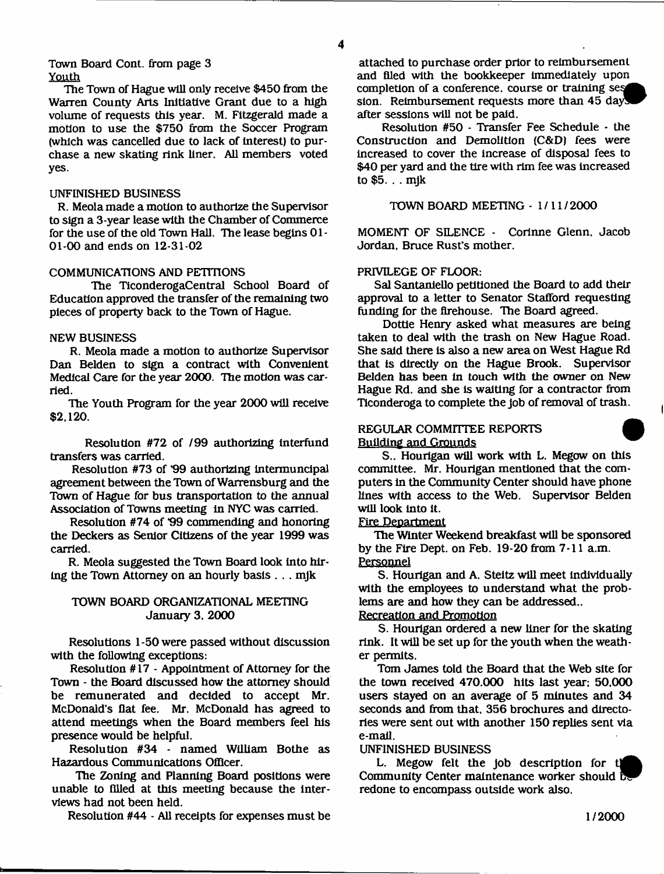#### Town Board Cont. from page 3 Youth

The Town of Hague will only receive \$450 from the Warren County Arts Initiative Grant due to a high volume of requests this year. M. Fitzgerald made a motion to use the \$750 from the Soccer Program (which was cancelled due to lack of interest) to purchase a new skating rink liner. All members voted yes.

#### UNFINISHED BUSINESS

R. Meola made a motion to authorize the Supervisor to sign a 3-year lease with the Chamber of Commerce for the use of the old Town Hall. The lease begins 01 - 01-00 and ends on 12-31-02

## COMMUNICATIONS AND PETITIONS

The TiconderogaCentral School Board of Education approved the transfer of the remaining two pieces of property back to the Town of Hague.

### NEW BUSINESS

R. Meola made a motion to authorize Supervisor Dan Belden to sign a contract with Convenient Medical Care for the year 2000. The motion was carried.

The Youth Program for the year 2000 will receive **\$**2 **,**120**.**

Resolution #72 of /99 authorizing interfund transfers was carried.

Resolution #73 of '99 authorizing intermuncipal agreement between theTown of Warrensburg and the Town of Hague for bus transportation to the annual Association of Towns meeting in NYC was carried.

Resolution #74 of \*99 commending and honoring the Deckers as Senior Citizens of the year 1999 was carried.

R. Meola suggested the Town Board look into hiring the Town Attorney on an hourly basis . . . mjk

## TOWN BOARD ORGANIZATIONAL MEETING January 3. 2000

Resolutions 1-50 were passed without discussion with the following exceptions:

Resolution # 17 - Appointment of Attorney for the Town - the Board discussed how the attorney should be remunerated and decided to accept Mr. McDonald's flat fee. Mr. McDonald has agreed to attend meetings when the Board members feel his presence would be helpful.

Resolution #34 - named William Bothe as Hazardous Communications Officer.

The Zoning and Planning Board positions were unable to filled at this meeting because the interviews had not been held.

Resolution  $#44 - All$  receipts for expenses must be

attached to purchase order prior to reimbursement and filed with the bookkeeper immediately upon completion of a conference, course or training ses sion. Reimbursement requests more than 45 days after sessions will not be paid.

Resolution #50 - Transfer Fee Schedule - the Construction and Demolition (C&D) fees were increased to cover the increase of disposal fees to \$40 per yard and the tire with rim fee was increased to \$5. . . mjk

### TOWN BOARD MEETING - 1/11/2000

MOMENT OF SILENCE - Corinne Glenn. Jacob Jordan, Bruce Rust's mother.

## PRIVILEGE OF FLOOR:

Sal Santaniello petitioned the Board to add their approval to a letter to Senator Stafford requesting funding for the firehouse. The Board agreed.

Dottie Henry asked what measures are being taken to deal with the trash on New Hague Road. She said there is also a new area on West Hague Rd that is directly on the Hague Brook. Supervisor Belden has been in touch with the owner on New Hague Rd. and she is waiting for a contractor from Ticonderoga to complete the job of removal of trash.

### REGULAR COMMITTEE REPORTS Building and Grounds

S.. Hourigan will work with L. Megow on this committee. Mr. Hourigan mentioned that the computers in the Community Center should have phone lines with access to the Web. Supervisor Belden will look into it.

#### Fire Department

The Winter Weekend breakfast will be sponsored by the Fire Dept, on Feb. 19-20 from 7-11 a.m. **Personnel**

S. Hourigan and A. Steitz will meet individually with the employees to understand what the problems are and how they can be addressed..

## Recreation and Promotion

S. Hourigan ordered a new liner for the skating rink. It will be set up for the youth when the weather permits.

Tom James told the Board that the Web site for the town received 470.000 hits last year; 50,000 users stayed on an average of 5 minutes and 34 seconds and from that. 356 brochures and directories were sent out with another 150 replies sent via e-mail.

### UNFINISHED BUSINESS

L. Megow felt the job description for Community Center maintenance worker should by redone to encompass outside work also.

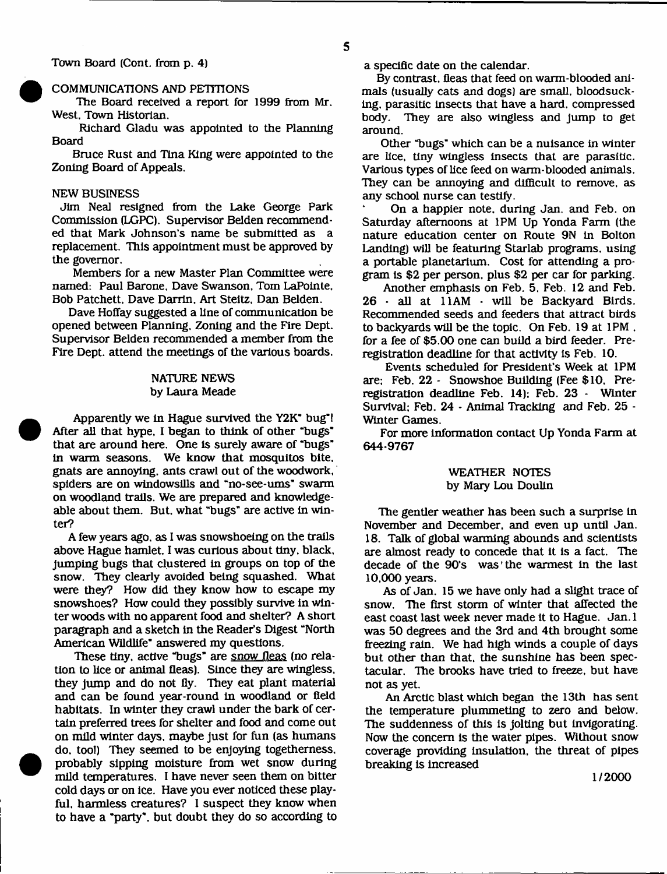COMMUNICATIONS AND PETITIONS

The Board received a report for 1999 from Mr. West, Town Historian.

Richard Gladu was appointed to the Planning Board

Bruce Rust and Tina King were appointed to the Zoning Board of Appeals.

## NEW BUSINESS

Jim Neal resigned from the Lake George Park Commission (LGPC). Supervisor Belden recommended that Mark Johnson's name be submitted as a replacement. This appointment must be approved by the governor.

Members for a new Master Plan Committee were named: Paul Barone, Dave Swanson, Tom LaPointe, Bob Patchett, Dave Darrin, Art Steitz, Dan Belden.

Dave Hoffay suggested a line of communication be opened between Planning. Zoning and the Fire Dept. Supervisor Belden recommended a member from die Fire Dept, attend the meetings of the various boards.

#### NATURE NEWS by Laura Meade

Apparently we in Hague survived the Y2K" bug"! After all that hype, I began to think of other "bugs" that are around here. One is surely aware of "bugs" in warm seasons. We know that mosquitos bite, gnats are annoying, ants crawl out of the woodwork, spiders are on windowsills and "no-see-urns' swarm on woodland trails. We are prepared and knowledgeable about them. But, what "bugs" are active in winter?

A few years ago. as I was snowshoeing on the trails above Hague hamlet. I was curious about tiny, black, jumping bugs that clustered in groups on top of the snow. They clearly avoided being squashed. What were they? How did they know how to escape my snowshoes? How could they possibly survive in winter woods with no apparent food and shelter? A short paragraph and a sketch in the Reader's Digest "North American Wildlife" answered my questions.

These tiny, active "bugs" are snow fleas (no relation to lice or animal fleas). Since they are wingless, they jump and do not fly. They eat plant material and can be found year-round in woodland or field habitats. In winter they crawl under the bark of certain preferred trees for shelter and food and come out on mild winter days, maybe just for fun (as humans do, tool) They seemed to be enjoying togetherness, probably sipping moisture from wet snow during mild temperatures. I have never seen them on bitter cold days or on ice. Have you ever noticed these playful. harmless creatures? I suspect they know when to have a "party", but doubt they do so according to

a specific date on the calendar.

By contrast, fleas that feed on warm-blooded animals (usually cats and dogs) are small, bloodsucking, parasitic insects that have a hard, compressed body. They are also wingless and jump to get around.

Other "bugs" which can be a nuisance in winter are lice, tiny wingless insects that are parasitic. Various types of lice feed on warm-blooded animals. They can be annoying and difficult to remove, as any school nurse can testify.

On a happier note, during Jan. and Feb. on Saturday afternoons at 1PM Up Yonda Farm (the nature education center on Route 9N in Bolton Landing) will be featuring Starlab programs, using a portable planetarium. Cost for attending a program is \$2 per person, plus \$2 per car for parking.

Another emphasis on Feb. 5, Feb. 12 and Feb. 26 - all at 11AM - will be Backyard Birds. Recommended seeds and feeders that attract birds to backyards will be the topic. On Feb. 19 at 1PM , for a fee of \$5.00 one can build a bird feeder. Preregistration deadline for that activity is Feb. 10.

Events scheduled for President's Week at 1PM are: Feb. 22 - Snowshoe Building (Fee \$10. Preregistration deadline Feb. 14): Feb. 23 - Winter Survival: Feb. 24 - Animal Tracking and Feb. 25 - Winter Games.

For more information contact Up Yonda Farm at 644-9767

#### WEATHER NOTES by Mary Lou Doulin

The gentler weather has been such a surprise in November and December, and even up until Jan. 18. Talk of global warming abounds and scientists are almost ready to concede that it is a fact. The decade of the 90's was'the warmest in the last 10,000 years.

As of Jan. 15 we have only had a slight trace of snow. The first storm of winter that affected the east coast last week never made it to Hague. Jan. 1 was 50 degrees and the 3rd and 4th brought some freezing rain. We had high winds a couple of days but other than that, the sunshine has been spectacular. The brooks have tried to freeze, but have not as yet.

An Arctic blast which began the 13th has sent the temperature plummeting to zero and below. The suddenness of this is jolting but invigorating. Now the concern is the water pipes. Without snow coverage providing insulation, the threat of pipes breaking is increased

1/2000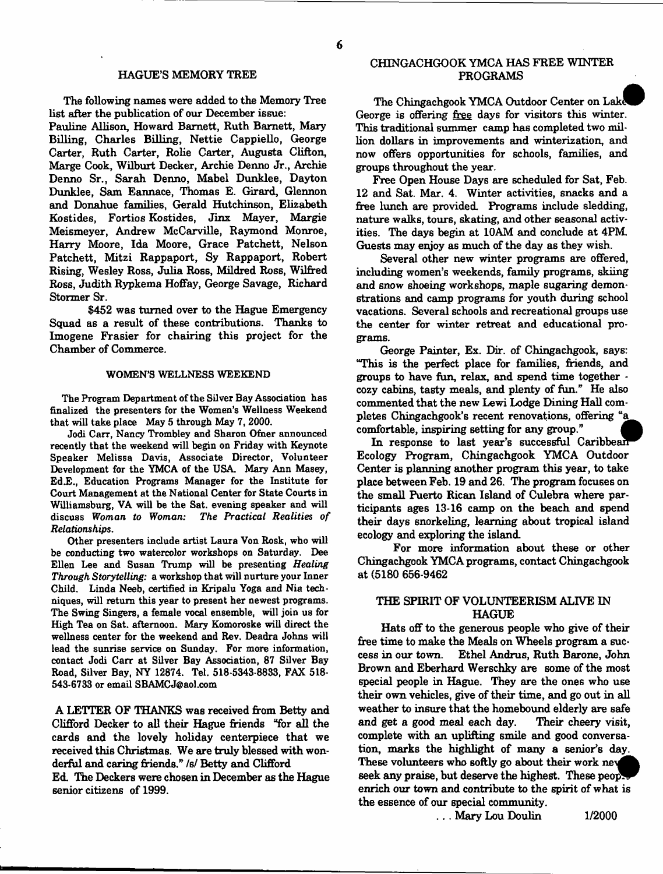#### HAGUE'S MEMORY TREE

The following names were added to the Memory Tree list after the publication of our December issue:

Pauline Allison, Howard Barnett, Ruth Barnett, Mary Billing, Charles Billing, Nettie Cappiello, George Carter, Ruth Carter, Rolie Carter, Augusta Clifton, Marge Cook, Wilburt Decker, Archie Denno Jr., Archie Denno Sr., Sarah Denno, Mabel Dunklee, Dayton Dunklee, Sam Eannace, Thomas E. Girard, Glennon and Donahue families, Gerald Hutchinson, Elizabeth Kostides, Fortios Kostides, Jinx Mayer, Margie Meismeyer, Andrew McCarville, Raymond Monroe, Harry Moore, Ida Moore, Grace Patchett, Nelson Patchett, Mitzi Rappaport, Sy Rappaport, Robert Rising, Wesley Ross, Julia Ross, Mildred Ross, Wilfred Ross, Judith Rypkema Hoffay, George Savage, Richard Stormer Sr.

\$452 was turned over to the Hague Emergency Squad as a result of these contributions. Thanks to Imogene Frasier for chairing this project for the Chamber of Commerce.

#### WOMEN'S WELLNESS WEEKEND

The Program Department of the Silver Bay Association has finalized the presenters for the Women's Wellness Weekend that will take place May 5 through May 7, 2000.

Jodi Carr, Nancy Trombley and Sharon Ofner announced recently that the weekend will begin on Friday with Keynote Speaker Melissa Davis, Associate Director, Volunteer Development for the YMCA of the USA. Mary Ann Masey, Ed.E., Education Programs Manager for the Institute for Court Management at the National Center for State Courts in Williamsburg, VA will be the Sat. evening speaker and will discuss Woman to Woman: The Practical Realities of *Relationships.*

Other presenters include artist Laura Von Rosk, who will be conducting two watercolor workshops on Saturday. Dee Ellen Lee and Susan Trump will be presenting *Healing Through Storytelling:* a workshop that will nurture your Inner Child. Linda Neeb, certified in Kripalu Yoga and Nia techniques, will return this year to present her newest programs. The Swing Singers, a female vocal ensemble, will join us for High Tea on Sat. afternoon. Mary Komoroske will direct the wellness center for the weekend and Rev. Deadra Johns will lead the sunrise service on Sunday. For more information, contact Jodi Carr at Silver Bay Association, 87 Silver Bay Road, Silver Bay, NY 12874. Tel. 518-5343-8833, FAX 518- 543-6733 or email [SBAMCJ@aol.com](mailto:SBAMCJ@aol.com)

A LETTER OF THANKS was received from Betty and Clifford Decker to all their Hague friends "for all the cards and the lovely holiday centerpiece that we received this Christmas. We are truly blessed with wonderful and caring friends." /s/ Betty and Clifford

Ed. The Deckers were chosen in December as the Hague senior citizens of 1999.

#### CHINGACHGOOK YMCA HAS FREE WINTER PROGRAMS

The Chingachgook YMCA Outdoor Center on Lak^ George is offering free days for visitors this winter. This traditional summer camp has completed two million dollars in improvements and winterization, and now offers opportunities for schools, families, and groups throughout the year.

Free Open House Days are scheduled for Sat, Feb. 12 and Sat. Mar. 4. Winter activities, snacks and a free lunch are provided. Programs include sledding, nature walks, tours, skating, and other seasonal activities. The days begin at 10AM and conclude at 4PM Guests may enjoy as much of the day as they wish.

Several other new winter programs are offered, including women's weekends, family programs, skiing and snow shoeing workshops, maple sugaring demonstrations and camp programs for youth during school vacations. Several schools and recreational groups use the center for winter retreat and educational programs.

George Painter, Ex. Dir. of Chingachgook, says: "This is the perfect place for families, friends, and groups to have fun, relax, and spend time together cozy cabins, tasty meals, and plenty of fun." He also commented that the new Lewi Lodge Dining Hall completes Chingachgook's recent renovations, offering "a comfortable, inspiring setting for any group."

In response to last year's successful Caribbean Ecology Program, Chingachgook YMCA Outdoor Center is planning another program this year, to take place between Feb. 19 and 26. The program focuses on the small Puerto Rican Island of Culebra where participants ages 13-16 camp on the beach and spend their days snorkeling, learning about tropical island ecology and exploring the island.

For more information about these or other Chingachgook YMCA programs, contact Chingachgook at (5180 656-9462

## THE SPIRIT OF VOLUNTEERISM ALIVE IN HAGUE

Hats off to the generous people who give of their free time to make the Meals on Wheels program a success in our town. Ethel Andrus, Ruth Barone, John Brown and Eberhard Werschky are some of the most special people in Hague. They are the ones who use their own vehicles, give of their time, and go out in all weather to insure that the homebound elderly are safe and get a good meal each day. Their cheery visit, complete with an uplifting smile and good conversation, marks the highlight of many a senior's day. These volunteers who softly go about their work ney seek any praise, but deserve the highest. These peop enrich our town and contribute to the spirit of what is the essence of our special community.

. . . Mary Lou Doulin 1/2000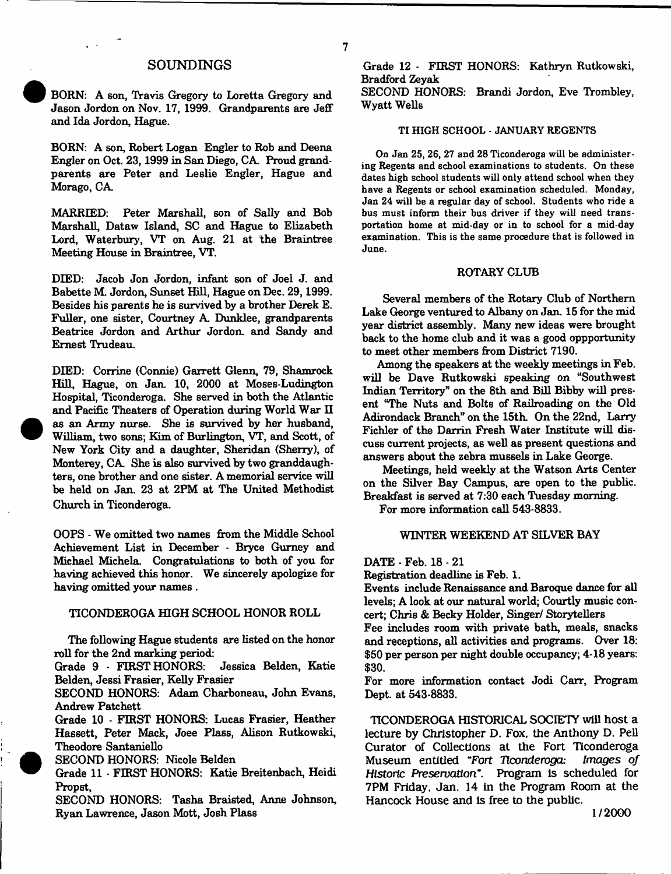## **SOUNDINGS**

7

BORN: A son, Travis Gregory to Loretta Gregory and Jason Jordon on Nov. 17, 1999. Grandparents are Jeff and Ida Jordon, Hague.

BORN: A son, Robert Logan Engler to Rob and Deena Engler on Oct. 23,1999 in San Diego, CA Proud grandparents are Peter and Leslie Engler, Hague and Morago, CA

MARRIED: Peter Marshall, son of Sally and Bob Marshall, Dataw Island, SC and Hague to Elizabeth Lord, Waterbury, VT on Aug. 21 at the Braintree Meeting House in Braintree, VT.

DIED: Jacob Jon Jordon, infant son of Joel J. and Babette M. Jordon, Sunset Hall, Hague on Dec. 29,1999. Besides his parents he is survived by a brother Derek E. Fuller, one sister, Courtney A Dunklee, grandparents Beatrice Jordon and Arthur Jordon, and Sandy and Ernest Trudeau.

DIED: Corrine (Connie) Garrett Glenn, 79, Shamrock Hill, Hague, on Jan, 10, 2000 at Moses-Ludington Hospital, Ticonderoga. She served in both the Atlantic and Pacific Theaters of Operation during World War H as an Army nurse. She is survived by her husband, William, two sons; Kim of Burlington, VT, and Scott, of New York City and a daughter, Sheridan (Sherry), of Monterey, CA She is also survived by two granddaughters, one brother and one sister. A memorial service will be held on Jan. 23 at 2PM at The United Methodist Church in Ticonderoga.

OOPS - We omitted two names from the Middle School Achievement List in December - Bryce Gurney and Michael Michela. Congratulations to both of you for having achieved this honor. We sincerely apologize for having omitted your names .

#### TICONDEROGA HIGH SCHOOL HONOR ROLL

The following Hague students are listed on the honor roll for the 2nd marking period:

Grade 9 - FIRST HONORS: Jessica Belden, Katie Belden, Jessi Frasier, Kelly Frasier

SECOND HONORS: Adam Charboneau, John Evans, Andrew Patchett

Grade 10 - FIRST HONORS: Lucas Frasier, Heather Hassett, Peter Mack, Joee Plass, Alison Rutkowski, Theodore Santaniello

SECOND HONORS: Nicole Belden

Grade 11 - FIRST HONORS: Katie Breitenbach, Heidi Propst,

SECOND HONORS: Tasha Braisted, Anne Johnson, Ryan Lawrence, Jason Mott, Josh Plass

Grade 12 - FIRST HONORS: Kathryn Rutkowski, Bradford Zeyak

SECOND HONORS: Brandi Jordon, Eve Trombley, Wyatt Wells

#### TI HIGH SCHOOL - JANUARY REGENTS

On Jan 25, 26, 27 and 28 Ticonderoga will be administering Regents and school examinations to students. On these dates high school students will only attend school when they have a Regents or school examination scheduled. Monday, Jan 24 will be a regular day of school. Students who ride a bus must inform their bus driver if they will need transportation home at mid-day or in to school for a mid-day examination. This is the same procedure that is followed in June.

#### ROTARY CLUB

Several members of the Rotary Club of Northern Lake George ventured to Albany on Jan. 15 for the mid year district assembly. Many new ideas were brought back to the home club and it was a good oppportunity to meet other members from District 7190.

Among the speakers at the weekly meetings in Feb. will be Dave Rutkowski speaking on "Southwest Indian Territory" on the 8th and Bill Bibby will present "The Nuts and Bolts of Railroading on the Old Adirondack Branch" on the 15th. On the 22nd, Larry Fichler of the Darrin Fresh Water Institute will discuss current projects, as well as present questions and answers about the zebra mussels in Lake George.

Meetings, held weekly at the Watson Arts Center on the Silver Bay Campus, are open to the public. Breakfast is served at 7:30 each Tuesday morning.

For more information call 543-8833.

#### WINTER WEEKEND AT SILVER BAY

DATE - Feb. 18 - 21

Registration deadline is Feb. 1.

Events include Renaissance and Baroque dance for all levels; A look at our natural world; Courtly music concert; Chris & Becky Holder, Singer/ Storytellers

Fee includes room with private bath, meals, snacks and receptions, all activities and programs. Over 18: \$50 per person per night double occupancy; 4-18 years: \$30.

For more information contact Jodi Carr, Program Dept, at 543-8833.

TICONDEROGA HISTORICAL SOCIETY will host a lecture by Christopher D. Fox, the Anthony D. Pell Curator of Collections at the Fort Ticonderoga Museum entitled "Fort *Ticonderoga: Images of Historic Preservation*". Program is scheduled for 7PM Friday. Jan. 14 in the Program Room at the Hancock House and is free to the public.